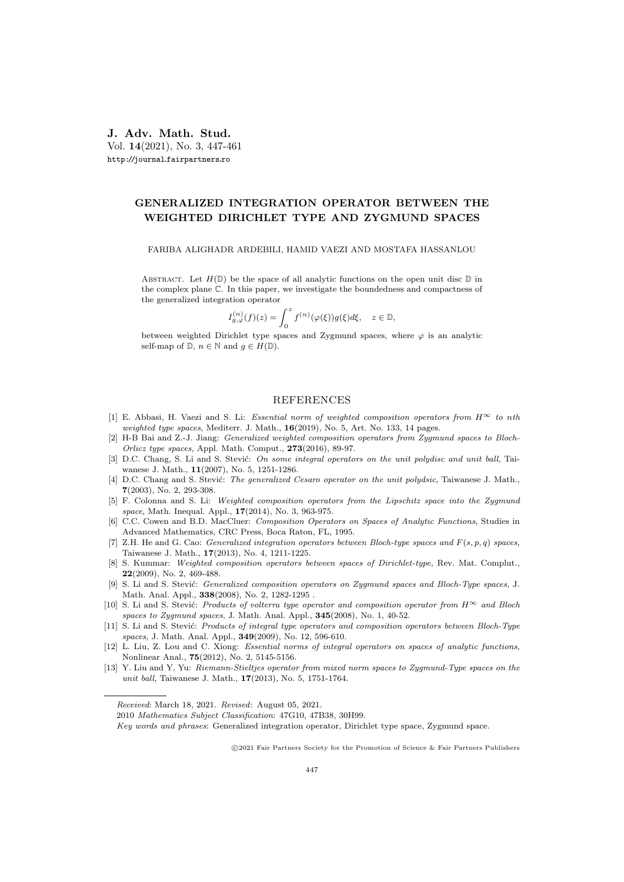J. Adv. Math. Stud. Vol. 14(2021), No. 3, 447-461 http://journal.fairpartners.ro

## GENERALIZED INTEGRATION OPERATOR BETWEEN THE WEIGHTED DIRICHLET TYPE AND ZYGMUND SPACES

FARIBA ALIGHADR ARDEBILI, HAMID VAEZI AND MOSTAFA HASSANLOU

ABSTRACT. Let  $H(\mathbb{D})$  be the space of all analytic functions on the open unit disc  $\mathbb D$  in the complex plane C. In this paper, we investigate the boundedness and compactness of the generalized integration operator

$$
I_{g,\varphi}^{(n)}(f)(z) = \int_0^z f^{(n)}(\varphi(\xi))g(\xi)d\xi, \quad z \in \mathbb{D},
$$

between weighted Dirichlet type spaces and Zygmund spaces, where  $\varphi$  is an analytic self-map of  $\mathbb{D}, n \in \mathbb{N}$  and  $q \in H(\mathbb{D})$ .

## REFERENCES

- [1] E. Abbasi, H. Vaezi and S. Li: Essential norm of weighted composition operators from  $H^{\infty}$  to nth weighted type spaces, Mediterr. J. Math.,  $16(2019)$ , No. 5, Art. No. 133, 14 pages.
- [2] H-B Bai and Z.-J. Jiang: Generalized weighted composition operators from Zygmund spaces to Bloch-Orlicz type spaces, Appl. Math. Comput., 273(2016), 89-97.
- [3] D.C. Chang, S. Li and S. Stević: On some integral operators on the unit polydisc and unit ball, Taiwanese J. Math., 11(2007), No. 5, 1251-1286.
- [4] D.C. Chang and S. Stević: The generalized Cesaro operator on the unit polydsic, Taiwanese J. Math., 7(2003), No. 2, 293-308.
- [5] F. Colonna and S. Li: Weighted composition operators from the Lipschitz space into the Zygmund space, Math. Inequal. Appl., **17**(2014), No. 3, 963-975.
- [6] C.C. Cowen and B.D. MacCluer: Composition Operators on Spaces of Analytic Functions, Studies in Advanced Mathematics, CRC Press, Boca Raton, FL, 1995.
- [7] Z.H. He and G. Cao: *Generalized integration operators between Bloch-type spaces and*  $F(s, p, q)$  spaces, Taiwanese J. Math., 17(2013), No. 4, 1211-1225.
- [8] S. Kummar: Weighted composition operators between spaces of Dirichlet-type, Rev. Mat. Complut., 22(2009), No. 2, 469-488.
- [9] S. Li and S. Stević: *Generalized composition operators on Zygmund spaces and Bloch-Type spaces*, J. Math. Anal. Appl., 338(2008), No. 2, 1282-1295 .
- [10] S. Li and S. Stević: Products of volterra type operator and composition operator from H∞ and Bloch spaces to Zygmund spaces, J. Math. Anal. Appl., 345(2008), No. 1, 40-52.
- [11] S. Li and S. Stević: Products of integral type operators and composition operators between Bloch-Type spaces, J. Math. Anal. Appl., 349(2009), No. 12, 596-610.
- [12] L. Liu, Z. Lou and C. Xiong: *Essential norms of integral operators on spaces of analytic functions*, Nonlinear Anal., 75(2012), No. 2, 5145-5156.
- [13] Y. Liu and Y. Yu: Riemann-Stieltjes operator from mixed norm spaces to Zygmund-Type spaces on the unit ball, Taiwanese J. Math., **17**(2013), No. 5, 1751-1764.

c 2021 Fair Partners Society for the Promotion of Science & Fair Partners Publishers

Received: March 18, 2021. Revised: August 05, 2021.

<sup>2010</sup> Mathematics Subject Classification: 47G10, 47B38, 30H99.

Key words and phrases: Generalized integration operator, Dirichlet type space, Zygmund space.